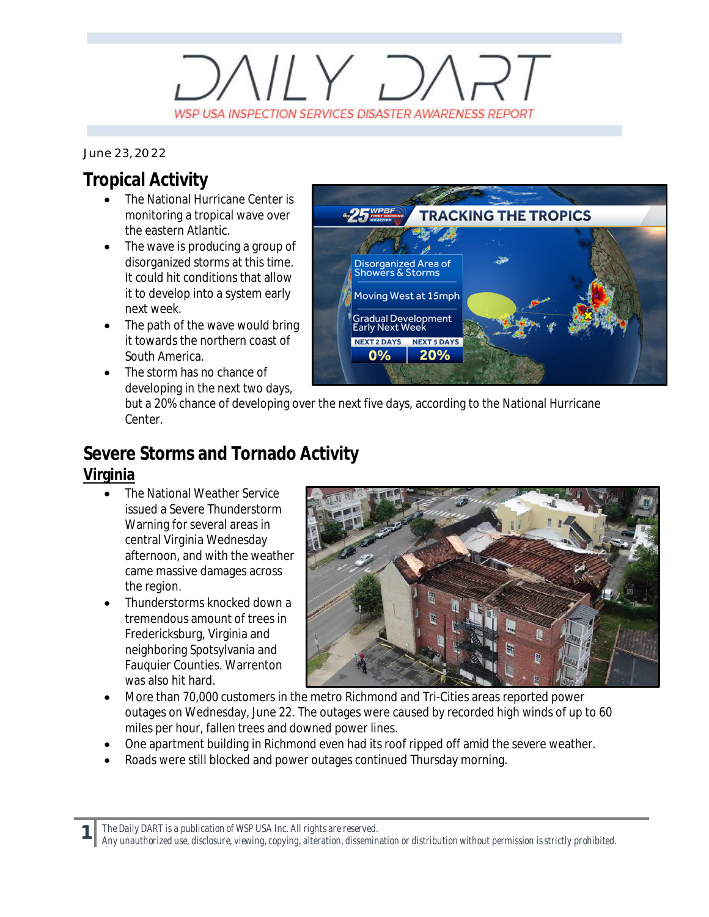# $V/Y$   $D/$ WSP USA INSPECTION SERVICES DISASTER AWARENESS REPORT

#### *June 23, 2022*

### **Tropical Activity**

- · The National Hurricane Center is monitoring a tropical wave over the eastern Atlantic.
- The wave is producing a group of disorganized storms at this time. It could hit conditions that allow it to develop into a system early next week.
- The path of the wave would bring it towards the northern coast of South America.
- The storm has no chance of developing in the next two days,



but a 20% chance of developing over the next five days, according to the National Hurricane Center.

## **Severe Storms and Tornado Activity**

#### **Virginia**

**1**

- · The National Weather Service issued a Severe Thunderstorm Warning for several areas in central Virginia Wednesday afternoon, and with the weather came massive damages across the region.
- · Thunderstorms knocked down a tremendous amount of trees in Fredericksburg, Virginia and neighboring Spotsylvania and Fauquier Counties. Warrenton was also hit hard.



- More than 70,000 customers in the metro Richmond and Tri-Cities areas reported power outages on Wednesday, June 22. The outages were caused by recorded high winds of up to 60 miles per hour, fallen trees and downed power lines.
- · One apartment building in Richmond even had its roof ripped off amid the severe weather.
- Roads were still blocked and power outages continued Thursday morning.

*The Daily DART is a publication of WSP USA Inc. All rights are reserved.*

*Any unauthorized use, disclosure, viewing, copying, alteration, dissemination or distribution without permission is strictly prohibited.*